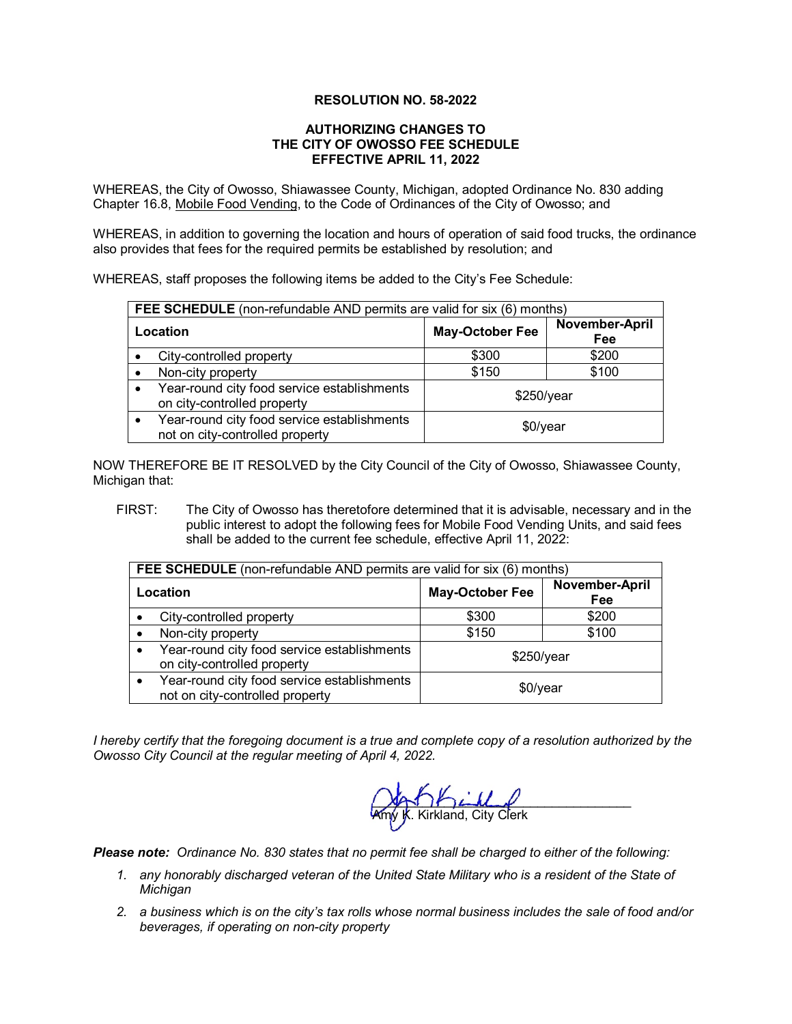### **RESOLUTION NO. 58-2022**

#### **AUTHORIZING CHANGES TO THE CITY OF OWOSSO FEE SCHEDULE EFFECTIVE APRIL 11, 2022**

WHEREAS, the City of Owosso, Shiawassee County, Michigan, adopted Ordinance No. 830 adding Chapter 16.8, Mobile Food Vending, to the Code of Ordinances of the City of Owosso; and

WHEREAS, in addition to governing the location and hours of operation of said food trucks, the ordinance also provides that fees for the required permits be established by resolution; and

WHEREAS, staff proposes the following items be added to the City's Fee Schedule:

| <b>FEE SCHEDULE</b> (non-refundable AND permits are valid for six (6) months)  |                        |                       |
|--------------------------------------------------------------------------------|------------------------|-----------------------|
| Location                                                                       | <b>May-October Fee</b> | November-April<br>Fee |
| City-controlled property                                                       | \$300                  | \$200                 |
| Non-city property                                                              | \$150                  | \$100                 |
| Year-round city food service establishments<br>on city-controlled property     | \$250/year             |                       |
| Year-round city food service establishments<br>not on city-controlled property | $$0$ /year             |                       |

NOW THEREFORE BE IT RESOLVED by the City Council of the City of Owosso, Shiawassee County, Michigan that:

FIRST: The City of Owosso has theretofore determined that it is advisable, necessary and in the public interest to adopt the following fees for Mobile Food Vending Units, and said fees shall be added to the current fee schedule, effective April 11, 2022:

| <b>FEE SCHEDULE</b> (non-refundable AND permits are valid for six (6) months)  |                        |                       |
|--------------------------------------------------------------------------------|------------------------|-----------------------|
| Location                                                                       | <b>May-October Fee</b> | November-April<br>Fee |
| City-controlled property                                                       | \$300                  | \$200                 |
| Non-city property                                                              | \$150                  | \$100                 |
| Year-round city food service establishments<br>on city-controlled property     | $$250$ /year           |                       |
| Year-round city food service establishments<br>not on city-controlled property | \$0/year               |                       |

*I hereby certify that the foregoing document is a true and complete copy of a resolution authorized by the Owosso City Council at the regular meeting of April 4, 2022.*

 $(M+1)$   $LLL$ Amy **K**. Kirkland, City Clerk

*Please note: Ordinance No. 830 states that no permit fee shall be charged to either of the following:*

- *1. any honorably discharged veteran of the United State Military who is a resident of the State of Michigan*
- *2. a business which is on the city's tax rolls whose normal business includes the sale of food and/or beverages, if operating on non-city property*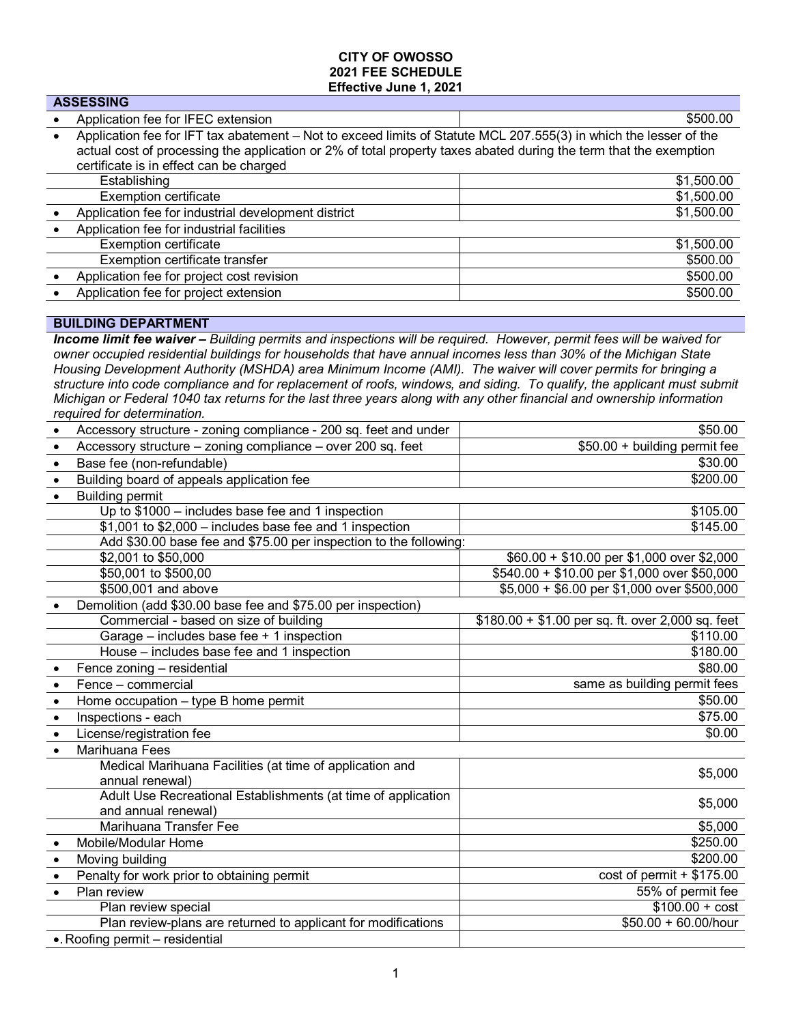### **CITY OF OWOSSO 2021 FEE SCHEDULE Effective June 1, 2021**

| <b>ASSESSING</b>                                                                                                                                                                                                                                                                  |            |  |
|-----------------------------------------------------------------------------------------------------------------------------------------------------------------------------------------------------------------------------------------------------------------------------------|------------|--|
| Application fee for IFEC extension                                                                                                                                                                                                                                                | \$500.00   |  |
| Application fee for IFT tax abatement - Not to exceed limits of Statute MCL 207.555(3) in which the lesser of the<br>actual cost of processing the application or 2% of total property taxes abated during the term that the exemption<br>certificate is in effect can be charged |            |  |
| Establishing                                                                                                                                                                                                                                                                      | \$1,500.00 |  |
| <b>Exemption certificate</b>                                                                                                                                                                                                                                                      | \$1,500.00 |  |
| Application fee for industrial development district                                                                                                                                                                                                                               | \$1,500.00 |  |
| Application fee for industrial facilities                                                                                                                                                                                                                                         |            |  |
| <b>Exemption certificate</b>                                                                                                                                                                                                                                                      | \$1,500.00 |  |
| Exemption certificate transfer                                                                                                                                                                                                                                                    | \$500.00   |  |
| Application fee for project cost revision                                                                                                                                                                                                                                         | \$500.00   |  |
| Application fee for project extension                                                                                                                                                                                                                                             | \$500.00   |  |
|                                                                                                                                                                                                                                                                                   |            |  |

## **BUILDING DEPARTMENT**

*Income limit fee waiver – Building permits and inspections will be required. However, permit fees will be waived for owner occupied residential buildings for households that have annual incomes less than 30% of the Michigan State Housing Development Authority (MSHDA) area Minimum Income (AMI). The waiver will cover permits for bringing a structure into code compliance and for replacement of roofs, windows, and siding. To qualify, the applicant must submit Michigan or Federal 1040 tax returns for the last three years along with any other financial and ownership information required for determination.*

| Accessory structure - zoning compliance - 200 sq. feet and under<br>$\bullet$ | \$50.00                                           |
|-------------------------------------------------------------------------------|---------------------------------------------------|
| Accessory structure - zoning compliance - over 200 sq. feet                   | \$50.00 + building permit fee                     |
| Base fee (non-refundable)<br>$\bullet$                                        | \$30.00                                           |
| Building board of appeals application fee<br>$\bullet$                        | \$200.00                                          |
| <b>Building permit</b><br>$\bullet$                                           |                                                   |
| Up to $$1000$ – includes base fee and 1 inspection                            | \$105.00                                          |
| $$1,001$ to $$2,000$ – includes base fee and 1 inspection                     | \$145.00                                          |
| Add \$30.00 base fee and \$75.00 per inspection to the following:             |                                                   |
| \$2,001 to \$50,000                                                           | $$60.00 + $10.00$ per \$1,000 over \$2,000        |
| \$50,001 to \$500,00                                                          | \$540.00 + \$10.00 per \$1,000 over \$50,000      |
| \$500,001 and above                                                           | \$5,000 + \$6.00 per \$1,000 over \$500,000       |
| Demolition (add \$30.00 base fee and \$75.00 per inspection)                  |                                                   |
| Commercial - based on size of building                                        | $$180.00 + $1.00$ per sq. ft. over 2,000 sq. feet |
| Garage $-$ includes base fee $+$ 1 inspection                                 | \$110.00                                          |
| House - includes base fee and 1 inspection                                    | \$180.00                                          |
| Fence zoning - residential                                                    | \$80.00                                           |
| Fence - commercial<br>$\bullet$                                               | same as building permit fees                      |
| Home occupation - type B home permit<br>$\bullet$                             | \$50.00                                           |
| Inspections - each<br>$\bullet$                                               | \$75.00                                           |
| License/registration fee<br>$\bullet$                                         | \$0.00                                            |
| Marihuana Fees<br>$\bullet$                                                   |                                                   |
| Medical Marihuana Facilities (at time of application and                      | \$5,000                                           |
| annual renewal)                                                               |                                                   |
| Adult Use Recreational Establishments (at time of application                 | \$5,000                                           |
| and annual renewal)                                                           |                                                   |
| Marihuana Transfer Fee                                                        | \$5,000                                           |
| Mobile/Modular Home                                                           | \$250.00                                          |
| Moving building<br>$\bullet$                                                  | \$200.00                                          |
| Penalty for work prior to obtaining permit<br>$\bullet$                       | $cost of permit + $175.00$                        |
| Plan review<br>$\bullet$                                                      | 55% of permit fee                                 |
| Plan review special                                                           | $\frac{1}{100.00}$ + cost                         |
| Plan review-plans are returned to applicant for modifications                 | $$50.00 + 60.00/h$ our                            |
| . Roofing permit - residential                                                |                                                   |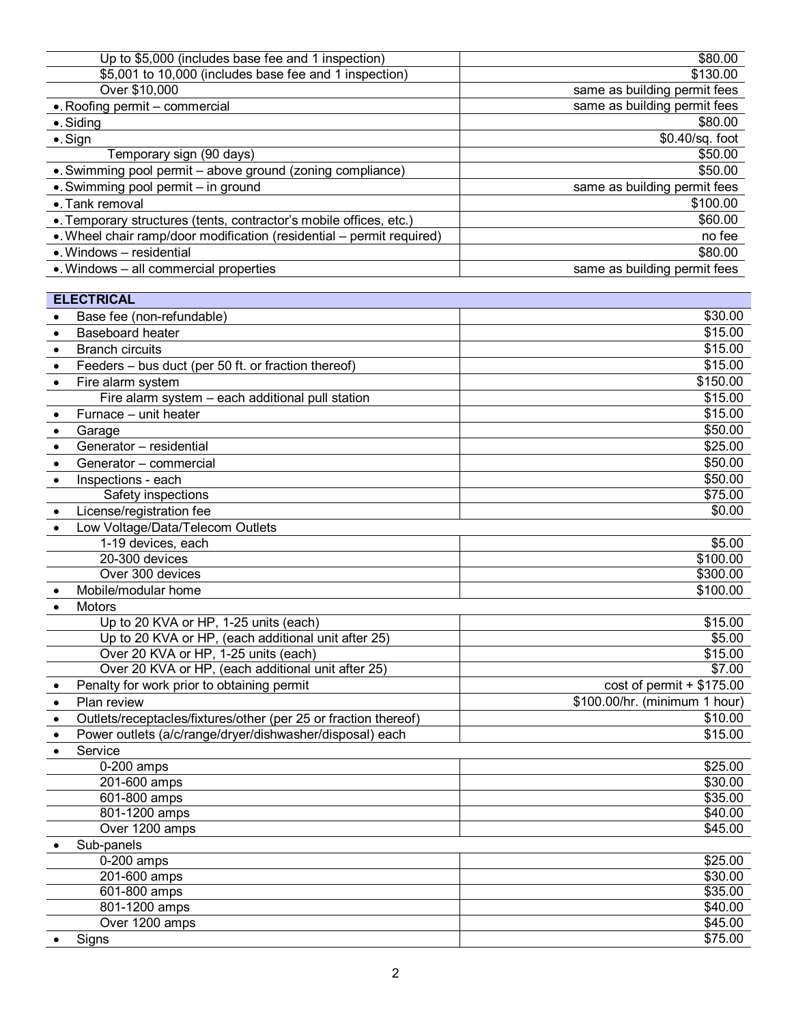| Up to \$5,000 (includes base fee and 1 inspection)                    | \$80.00                       |
|-----------------------------------------------------------------------|-------------------------------|
| \$5,001 to 10,000 (includes base fee and 1 inspection)                | \$130.00                      |
| Over \$10,000                                                         | same as building permit fees  |
| . Roofing permit - commercial                                         | same as building permit fees  |
| $\bullet$ . Siding                                                    | \$80.00                       |
| $\bullet$ . Sign                                                      | \$0.40/sq. foot               |
| Temporary sign (90 days)                                              | \$50.00                       |
| •. Swimming pool permit - above ground (zoning compliance)            | \$50.00                       |
| •. Swimming pool permit - in ground                                   | same as building permit fees  |
| •. Tank removal                                                       | \$100.00                      |
| •. Temporary structures (tents, contractor's mobile offices, etc.)    | \$60.00                       |
| •. Wheel chair ramp/door modification (residential – permit required) | no fee                        |
| $\bullet$ . Windows - residential                                     | \$80.00                       |
| . Windows - all commercial properties                                 | same as building permit fees  |
|                                                                       |                               |
| <b>ELECTRICAL</b>                                                     |                               |
| Base fee (non-refundable)                                             | \$30.00                       |
|                                                                       |                               |
| Baseboard heater                                                      | \$15.00                       |
| <b>Branch circuits</b><br>$\bullet$                                   | \$15.00                       |
| Feeders – bus duct (per 50 ft. or fraction thereof)<br>$\bullet$      | \$15.00                       |
| Fire alarm system<br>$\bullet$                                        | \$150.00                      |
| Fire alarm system - each additional pull station                      | \$15.00                       |
| Furnace - unit heater<br>$\bullet$                                    | \$15.00                       |
| Garage<br>$\bullet$                                                   | \$50.00                       |
| Generator - residential<br>$\bullet$                                  | \$25.00                       |
| Generator - commercial                                                | \$50.00                       |
| Inspections - each<br>$\bullet$                                       | \$50.00                       |
| Safety inspections                                                    | \$75.00                       |
| License/registration fee<br>$\bullet$                                 | \$0.00                        |
| Low Voltage/Data/Telecom Outlets<br>$\bullet$                         |                               |
| 1-19 devices, each                                                    | \$5.00                        |
| 20-300 devices                                                        | \$100.00                      |
| Over 300 devices                                                      | \$300.00                      |
| Mobile/modular home                                                   | \$100.00                      |
| <b>Motors</b><br>$\bullet$                                            |                               |
| Up to 20 KVA or HP, 1-25 units (each)                                 | \$15.00                       |
| Up to 20 KVA or HP, (each additional unit after 25)                   | \$5.00                        |
| Over 20 KVA or HP, 1-25 units (each)                                  | \$15.00                       |
| Over 20 KVA or HP, (each additional unit after 25)                    | \$7.00                        |
| Penalty for work prior to obtaining permit                            | $cost of permit + $175.00$    |
| Plan review<br>$\bullet$                                              | \$100.00/hr. (minimum 1 hour) |
| Outlets/receptacles/fixtures/other (per 25 or fraction thereof)       | \$10.00                       |
| Power outlets (a/c/range/dryer/dishwasher/disposal) each              | \$15.00                       |
| Service                                                               |                               |
| 0-200 amps                                                            | \$25.00                       |
| 201-600 amps                                                          | \$30.00                       |
| 601-800 amps                                                          | \$35.00                       |
| 801-1200 amps                                                         | \$40.00                       |
| Over 1200 amps                                                        | \$45.00                       |
| Sub-panels                                                            |                               |
| 0-200 amps                                                            | \$25.00                       |
| 201-600 amps                                                          | \$30.00                       |
| 601-800 amps                                                          | \$35.00                       |
| 801-1200 amps                                                         | \$40.00                       |
| Over 1200 amps                                                        | \$45.00                       |
| Signs                                                                 | \$75.00                       |
|                                                                       |                               |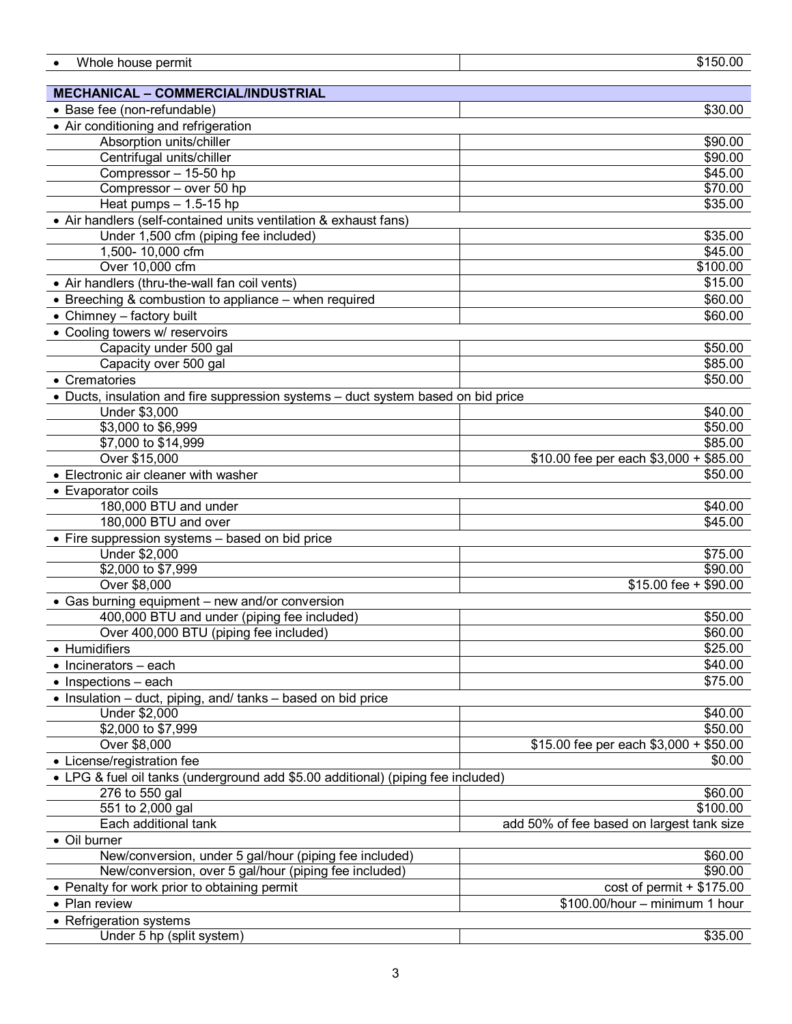| Whole house permit                                                                | \$150.00                                  |
|-----------------------------------------------------------------------------------|-------------------------------------------|
|                                                                                   |                                           |
| <b>MECHANICAL - COMMERCIAL/INDUSTRIAL</b>                                         |                                           |
| • Base fee (non-refundable)                                                       | \$30.00                                   |
| • Air conditioning and refrigeration                                              |                                           |
| Absorption units/chiller                                                          | \$90.00                                   |
| Centrifugal units/chiller                                                         | \$90.00                                   |
| Compressor - 15-50 hp                                                             | \$45.00                                   |
| Compressor - over 50 hp                                                           | \$70.00                                   |
| Heat pumps $- 1.5 - 15$ hp                                                        | \$35.00                                   |
| • Air handlers (self-contained units ventilation & exhaust fans)                  |                                           |
| Under 1,500 cfm (piping fee included)                                             | \$35.00                                   |
| 1,500-10,000 cfm                                                                  | \$45.00                                   |
| Over 10,000 cfm                                                                   | \$100.00                                  |
| • Air handlers (thru-the-wall fan coil vents)                                     | \$15.00                                   |
| • Breeching & combustion to appliance - when required                             | \$60.00                                   |
| • Chimney - factory built                                                         | \$60.00                                   |
| • Cooling towers w/ reservoirs                                                    |                                           |
| Capacity under 500 gal                                                            | \$50.00                                   |
| Capacity over 500 gal                                                             | \$85.00                                   |
| • Crematories                                                                     | \$50.00                                   |
| • Ducts, insulation and fire suppression systems - duct system based on bid price |                                           |
|                                                                                   | \$40.00                                   |
| Under \$3,000                                                                     | \$50.00                                   |
| \$3,000 to \$6,999<br>\$7,000 to \$14,999                                         | \$85.00                                   |
| Over \$15,000                                                                     | $$10.00$ fee per each $$3,000 + $85.00$   |
| • Electronic air cleaner with washer                                              | \$50.00                                   |
|                                                                                   |                                           |
| • Evaporator coils                                                                |                                           |
| 180,000 BTU and under<br>180,000 BTU and over                                     | \$40.00<br>\$45.00                        |
|                                                                                   |                                           |
| • Fire suppression systems - based on bid price                                   |                                           |
| Under \$2,000                                                                     | \$75.00<br>\$90.00                        |
| \$2,000 to \$7,999<br>Over \$8,000                                                |                                           |
|                                                                                   | $$15.00$ fee + $$90.00$                   |
| • Gas burning equipment – new and/or conversion                                   |                                           |
| 400,000 BTU and under (piping fee included)                                       | \$50.00                                   |
| Over 400,000 BTU (piping fee included)                                            | \$60.00                                   |
| • Humidifiers                                                                     | \$25.00                                   |
| $\bullet$ Incinerators - each                                                     | \$40.00                                   |
| $\bullet$ Inspections - each                                                      | \$75.00                                   |
| • Insulation - duct, piping, and/ tanks - based on bid price                      |                                           |
| Under \$2,000                                                                     | \$40.00                                   |
| \$2,000 to \$7,999                                                                | \$50.00                                   |
| Over \$8,000                                                                      | \$15.00 fee per each $$3,000 + $50.00$    |
| • License/registration fee                                                        | \$0.00                                    |
| • LPG & fuel oil tanks (underground add \$5.00 additional) (piping fee included)  |                                           |
| 276 to 550 gal                                                                    | \$60.00                                   |
| 551 to 2,000 gal                                                                  | \$100.00                                  |
| Each additional tank                                                              | add 50% of fee based on largest tank size |
| • Oil burner                                                                      |                                           |
| New/conversion, under 5 gal/hour (piping fee included)                            | \$60.00                                   |
| New/conversion, over 5 gal/hour (piping fee included)                             | \$90.00                                   |
| • Penalty for work prior to obtaining permit                                      | $cost of permit + $175.00$                |
| • Plan review                                                                     | \$100.00/hour - minimum 1 hour            |
| • Refrigeration systems                                                           |                                           |
| Under 5 hp (split system)                                                         | \$35.00                                   |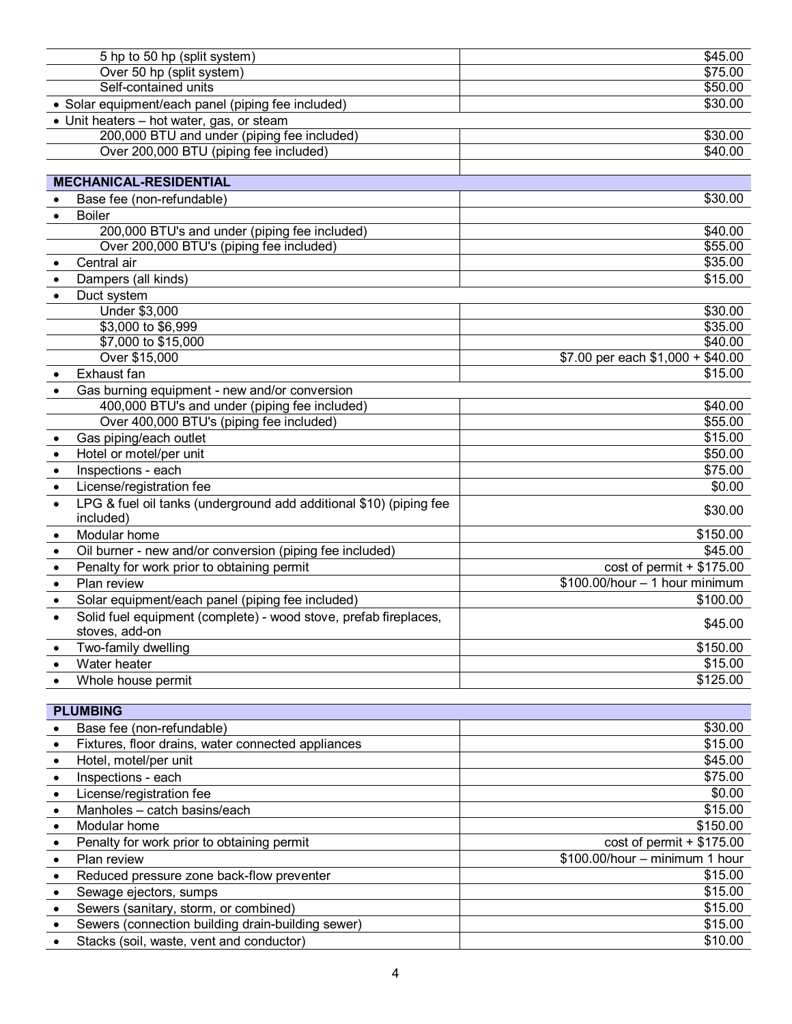|                           | 5 hp to 50 hp (split system)                                                    | \$45.00                           |
|---------------------------|---------------------------------------------------------------------------------|-----------------------------------|
| Over 50 hp (split system) |                                                                                 | \$75.00                           |
| Self-contained units      |                                                                                 | \$50.00                           |
|                           | • Solar equipment/each panel (piping fee included)                              | \$30.00                           |
|                           | • Unit heaters – hot water, gas, or steam                                       |                                   |
|                           | 200,000 BTU and under (piping fee included)                                     | \$30.00                           |
|                           | Over 200,000 BTU (piping fee included)                                          | \$40.00                           |
|                           |                                                                                 |                                   |
|                           | <b>MECHANICAL-RESIDENTIAL</b>                                                   |                                   |
|                           | Base fee (non-refundable)                                                       | \$30.00                           |
| $\bullet$                 | <b>Boiler</b>                                                                   |                                   |
|                           | 200,000 BTU's and under (piping fee included)                                   | \$40.00                           |
|                           | Over 200,000 BTU's (piping fee included)                                        | \$55.00                           |
|                           | Central air                                                                     | \$35.00<br>\$15.00                |
| $\bullet$                 | Dampers (all kinds)                                                             |                                   |
|                           | Duct system<br>Under \$3,000                                                    | \$30.00                           |
|                           | \$3,000 to \$6,999                                                              | \$35.00                           |
|                           | \$7,000 to \$15,000                                                             | \$40.00                           |
|                           | Over \$15,000                                                                   | \$7.00 per each $$1,000 + $40.00$ |
|                           | Exhaust fan                                                                     | \$15.00                           |
| $\bullet$                 | Gas burning equipment - new and/or conversion                                   |                                   |
|                           | 400,000 BTU's and under (piping fee included)                                   | \$40.00                           |
|                           | Over 400,000 BTU's (piping fee included)                                        | \$55.00                           |
| $\bullet$                 | Gas piping/each outlet                                                          | \$15.00                           |
| $\bullet$                 | Hotel or motel/per unit                                                         | \$50.00                           |
| $\bullet$                 | Inspections - each                                                              | \$75.00                           |
| $\bullet$                 | License/registration fee                                                        | \$0.00                            |
|                           | LPG & fuel oil tanks (underground add additional \$10) (piping fee<br>included) | \$30.00                           |
|                           | Modular home                                                                    | \$150.00                          |
|                           | Oil burner - new and/or conversion (piping fee included)                        | \$45.00                           |
| $\bullet$                 | Penalty for work prior to obtaining permit                                      | $cost of permit + $175.00$        |
| $\bullet$<br>$\bullet$    | Plan review                                                                     | $$100.00/hour - 1 hour minimum$   |
|                           | Solar equipment/each panel (piping fee included)                                | \$100.00                          |
| $\bullet$                 | Solid fuel equipment (complete) - wood stove, prefab fireplaces,                | \$45.00                           |
|                           | stoves, add-on                                                                  |                                   |
|                           | Two-family dwelling                                                             | \$150.00                          |
|                           | Water heater                                                                    | \$15.00                           |
|                           | Whole house permit                                                              | \$125.00                          |
|                           | <b>PLUMBING</b>                                                                 |                                   |
|                           | Base fee (non-refundable)                                                       | \$30.00                           |
|                           | Fixtures, floor drains, water connected appliances                              | \$15.00                           |
| $\bullet$                 | Hotel, motel/per unit                                                           | \$45.00                           |
| $\bullet$                 | Inspections - each                                                              | \$75.00                           |
| $\bullet$                 | License/registration fee                                                        | \$0.00                            |
| $\bullet$                 | Manholes - catch basins/each                                                    | \$15.00                           |
| $\bullet$                 | Modular home                                                                    | \$150.00                          |
| $\bullet$                 | Penalty for work prior to obtaining permit                                      | $cost of permit + $175.00$        |
| $\bullet$                 | Plan review                                                                     | \$100.00/hour - minimum 1 hour    |
| $\bullet$                 | Reduced pressure zone back-flow preventer                                       | \$15.00                           |
| $\bullet$                 | Sewage ejectors, sumps                                                          | \$15.00                           |
| $\bullet$                 | Sewers (sanitary, storm, or combined)                                           | \$15.00                           |
|                           | Sewers (connection building drain-building sewer)                               | \$15.00                           |
|                           |                                                                                 | $\frac{1}{2}$                     |

<sup>•</sup> Stacks (soil, waste, vent and conductor)  $\overline{\phantom{a}}$   $\overline{\phantom{a}}$   $\overline{\phantom{a}}$   $\overline{\phantom{a}}$   $\overline{\phantom{a}}$   $\overline{\phantom{a}}$   $\overline{\phantom{a}}$   $\overline{\phantom{a}}$   $\overline{\phantom{a}}$   $\overline{\phantom{a}}$   $\overline{\phantom{a}}$   $\overline{\phantom{a}}$   $\overline{\phantom{a}}$   $\overline{\phantom{a}}$   $\overline{\phantom{a}}$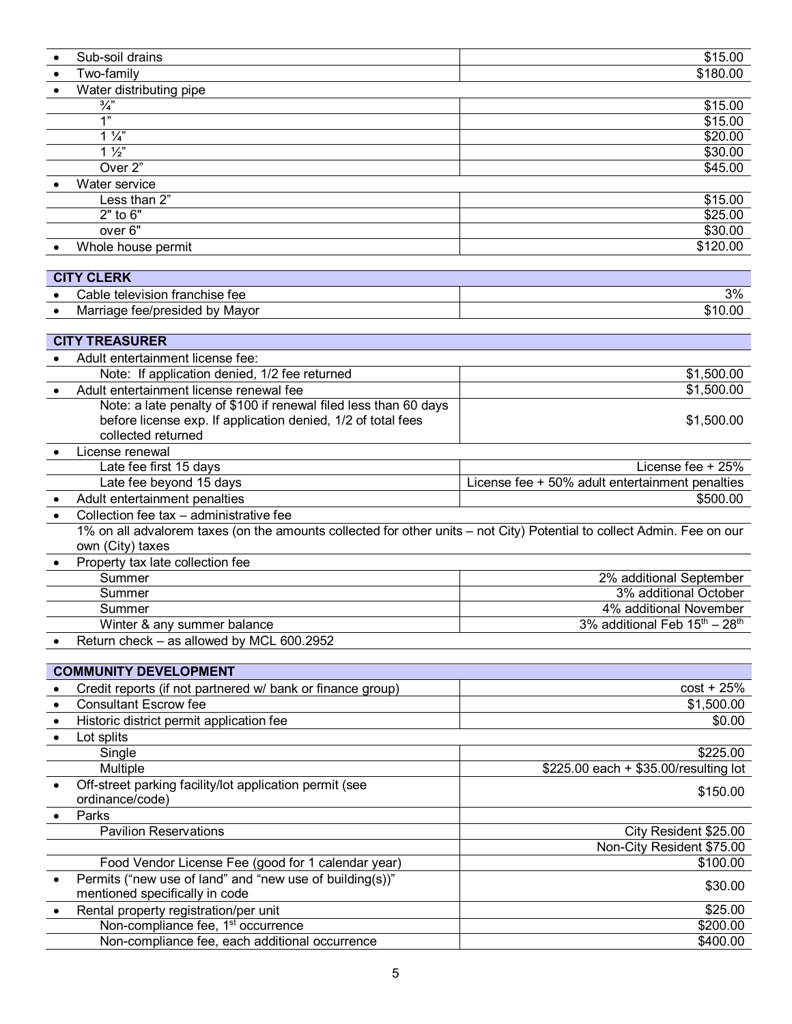|           | Sub-soil drains                                                                                                        | \$15.00                                               |
|-----------|------------------------------------------------------------------------------------------------------------------------|-------------------------------------------------------|
|           | Two-family                                                                                                             | \$180.00                                              |
| $\bullet$ | Water distributing pipe                                                                                                |                                                       |
|           | $\frac{3}{4}$                                                                                                          | \$15.00                                               |
|           | 1"                                                                                                                     | \$15.00                                               |
|           | $1\frac{1}{4}$                                                                                                         | \$20.00                                               |
|           | $1\frac{1}{2}$                                                                                                         | \$30.00                                               |
|           | Over <sub>2</sub> "                                                                                                    | \$45.00                                               |
|           | Water service                                                                                                          |                                                       |
|           | Less than 2"                                                                                                           | \$15.00                                               |
|           | $2"$ to $6"$                                                                                                           | \$25.00                                               |
|           | over 6"                                                                                                                | \$30.00                                               |
|           | Whole house permit                                                                                                     | \$120.00                                              |
|           |                                                                                                                        |                                                       |
|           | <b>CITY CLERK</b>                                                                                                      |                                                       |
|           | Cable television franchise fee                                                                                         | 3%                                                    |
|           | Marriage fee/presided by Mayor                                                                                         | \$10.00                                               |
|           |                                                                                                                        |                                                       |
|           | <b>CITY TREASURER</b>                                                                                                  |                                                       |
|           | Adult entertainment license fee:                                                                                       |                                                       |
|           | Note: If application denied, 1/2 fee returned                                                                          | \$1,500.00                                            |
|           | Adult entertainment license renewal fee                                                                                | \$1,500.00                                            |
|           | Note: a late penalty of \$100 if renewal filed less than 60 days                                                       |                                                       |
|           | before license exp. If application denied, 1/2 of total fees                                                           | \$1,500.00                                            |
|           | collected returned                                                                                                     |                                                       |
|           | License renewal                                                                                                        |                                                       |
|           | Late fee first 15 days                                                                                                 | License fee + 25%                                     |
|           | Late fee beyond 15 days                                                                                                | License fee + 50% adult entertainment penalties       |
|           | Adult entertainment penalties                                                                                          | \$500.00                                              |
|           | Collection fee tax - administrative fee                                                                                |                                                       |
|           | 1% on all advalorem taxes (on the amounts collected for other units - not City) Potential to collect Admin. Fee on our |                                                       |
|           | own (City) taxes                                                                                                       |                                                       |
|           | Property tax late collection fee                                                                                       |                                                       |
|           | Summer                                                                                                                 | 2% additional September                               |
|           | Summer                                                                                                                 | 3% additional October                                 |
|           | Summer                                                                                                                 | 4% additional November                                |
|           | Winter & any summer balance                                                                                            | 3% additional Feb 15 <sup>th</sup> - 28 <sup>th</sup> |
|           | Return check - as allowed by MCL 600.2952                                                                              |                                                       |
|           |                                                                                                                        |                                                       |
|           | <b>COMMUNITY DEVELOPMENT</b>                                                                                           |                                                       |
|           | Credit reports (if not partnered w/ bank or finance group)                                                             | $cost + 25%$                                          |
| $\bullet$ | <b>Consultant Escrow fee</b>                                                                                           | \$1,500.00                                            |
| $\bullet$ | Historic district permit application fee                                                                               | \$0.00                                                |
|           | Lot splits                                                                                                             |                                                       |
|           | Single                                                                                                                 | \$225.00                                              |
|           | Multiple                                                                                                               | $$225.00$ each + \$35.00/resulting lot                |
|           | Off-street parking facility/lot application permit (see                                                                | \$150.00                                              |
|           | ordinance/code)                                                                                                        |                                                       |
|           | Parks                                                                                                                  |                                                       |
|           | <b>Pavilion Reservations</b>                                                                                           | City Resident \$25.00                                 |
|           |                                                                                                                        | Non-City Resident \$75.00                             |
|           | Food Vendor License Fee (good for 1 calendar year)                                                                     | \$100.00                                              |
|           | Permits ("new use of land" and "new use of building(s))"                                                               | \$30.00                                               |
|           | mentioned specifically in code                                                                                         |                                                       |
|           | Rental property registration/per unit                                                                                  | \$25.00                                               |
|           | Non-compliance fee, 1 <sup>st</sup> occurrence                                                                         | \$200.00                                              |
|           | Non-compliance fee, each additional occurrence                                                                         | \$400.00                                              |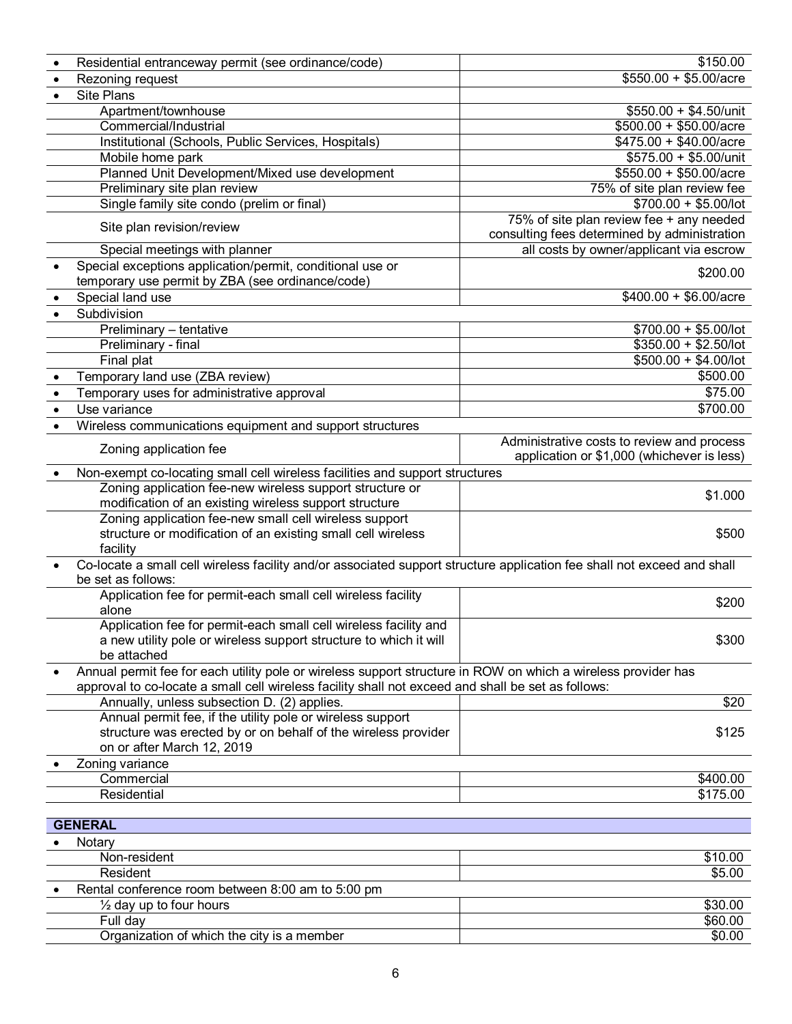|           | Residential entranceway permit (see ordinance/code)                                                                                                                                                                 | \$150.00                                     |
|-----------|---------------------------------------------------------------------------------------------------------------------------------------------------------------------------------------------------------------------|----------------------------------------------|
| $\bullet$ | Rezoning request                                                                                                                                                                                                    | $$550.00 + $5.00/acre$                       |
| $\bullet$ | <b>Site Plans</b>                                                                                                                                                                                                   |                                              |
|           | Apartment/townhouse                                                                                                                                                                                                 | $$550.00 + $4.50/$ unit                      |
|           | Commercial/Industrial                                                                                                                                                                                               | $$500.00 + $50.00/$ acre                     |
|           | Institutional (Schools, Public Services, Hospitals)                                                                                                                                                                 | $$475.00 + $40.00/$ acre                     |
|           | Mobile home park                                                                                                                                                                                                    | \$575.00 + \$5.00/unit                       |
|           | Planned Unit Development/Mixed use development                                                                                                                                                                      | $$550.00 + $50.00/$ acre                     |
|           | Preliminary site plan review                                                                                                                                                                                        | 75% of site plan review fee                  |
|           | Single family site condo (prelim or final)                                                                                                                                                                          | $$700.00 + $5.00/$ lot                       |
|           | Site plan revision/review                                                                                                                                                                                           | 75% of site plan review fee + any needed     |
|           |                                                                                                                                                                                                                     | consulting fees determined by administration |
|           | Special meetings with planner                                                                                                                                                                                       | all costs by owner/applicant via escrow      |
|           | Special exceptions application/permit, conditional use or                                                                                                                                                           | \$200.00                                     |
|           | temporary use permit by ZBA (see ordinance/code)                                                                                                                                                                    |                                              |
|           | Special land use                                                                                                                                                                                                    | $$400.00 + $6.00/$ acre                      |
|           | Subdivision                                                                                                                                                                                                         |                                              |
|           | Preliminary - tentative                                                                                                                                                                                             | $$700.00 + $5.00/$ lot                       |
|           | Preliminary - final                                                                                                                                                                                                 | $$350.00 + $2.50/$ lot                       |
|           | Final plat                                                                                                                                                                                                          | $$500.00 + $4.00/$ lot                       |
|           | Temporary land use (ZBA review)                                                                                                                                                                                     | \$500.00                                     |
|           | Temporary uses for administrative approval                                                                                                                                                                          | \$75.00                                      |
|           | Use variance                                                                                                                                                                                                        | \$700.00                                     |
|           | Wireless communications equipment and support structures                                                                                                                                                            |                                              |
|           | Zoning application fee                                                                                                                                                                                              | Administrative costs to review and process   |
|           |                                                                                                                                                                                                                     | application or \$1,000 (whichever is less)   |
|           | Non-exempt co-locating small cell wireless facilities and support structures                                                                                                                                        |                                              |
|           | Zoning application fee-new wireless support structure or                                                                                                                                                            | \$1.000                                      |
|           | modification of an existing wireless support structure                                                                                                                                                              |                                              |
|           | Zoning application fee-new small cell wireless support                                                                                                                                                              |                                              |
|           | structure or modification of an existing small cell wireless                                                                                                                                                        | \$500                                        |
|           | facility                                                                                                                                                                                                            |                                              |
|           | Co-locate a small cell wireless facility and/or associated support structure application fee shall not exceed and shall                                                                                             |                                              |
|           | be set as follows:                                                                                                                                                                                                  |                                              |
|           | Application fee for permit-each small cell wireless facility                                                                                                                                                        | \$200                                        |
|           | alone                                                                                                                                                                                                               |                                              |
|           | Application fee for permit-each small cell wireless facility and                                                                                                                                                    |                                              |
|           | a new utility pole or wireless support structure to which it will<br>be attached                                                                                                                                    | \$300                                        |
|           |                                                                                                                                                                                                                     |                                              |
|           | Annual permit fee for each utility pole or wireless support structure in ROW on which a wireless provider has<br>approval to co-locate a small cell wireless facility shall not exceed and shall be set as follows: |                                              |
|           | Annually, unless subsection D. (2) applies.                                                                                                                                                                         | \$20                                         |
|           | Annual permit fee, if the utility pole or wireless support                                                                                                                                                          |                                              |
|           | structure was erected by or on behalf of the wireless provider                                                                                                                                                      | \$125                                        |
|           | on or after March 12, 2019                                                                                                                                                                                          |                                              |
|           | Zoning variance                                                                                                                                                                                                     |                                              |
|           | Commercial                                                                                                                                                                                                          | \$400.00                                     |
|           | Residential                                                                                                                                                                                                         | \$175.00                                     |
|           |                                                                                                                                                                                                                     |                                              |
|           | <b>GENERAL</b>                                                                                                                                                                                                      |                                              |
|           | Notary                                                                                                                                                                                                              |                                              |
|           | Non-resident                                                                                                                                                                                                        | \$10.00                                      |
|           | Resident                                                                                                                                                                                                            | \$5.00                                       |
|           | Rental conference room between 8:00 am to 5:00 pm                                                                                                                                                                   |                                              |
|           | $\frac{1}{2}$ day up to four hours                                                                                                                                                                                  | \$30.00                                      |
|           | Full day                                                                                                                                                                                                            | \$60.00                                      |
|           | Organization of which the city is a member                                                                                                                                                                          | \$0.00                                       |
|           |                                                                                                                                                                                                                     |                                              |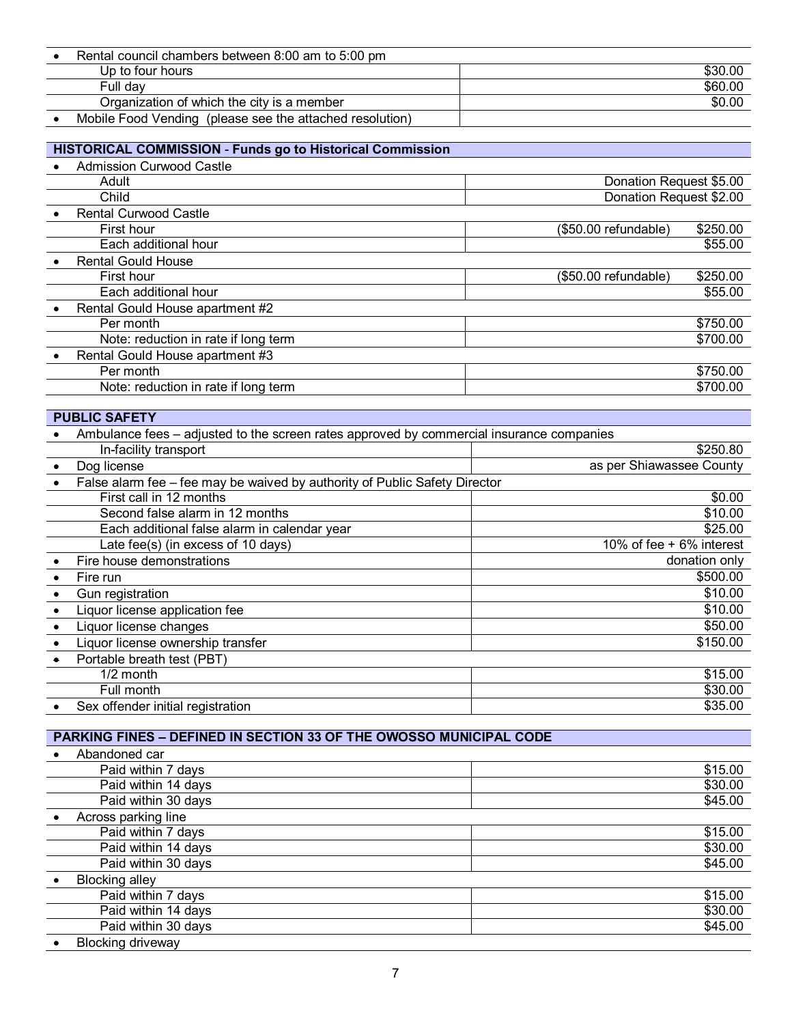| Rental council chambers between 8:00 am to 5:00 pm       |         |
|----------------------------------------------------------|---------|
| Up to four hours                                         | \$30.00 |
| Full dav                                                 | \$60.00 |
| Organization of which the city is a member               | \$0.00  |
| Mobile Food Vending (please see the attached resolution) |         |

## **HISTORICAL COMMISSION** - **Funds go to Historical Commission**

| <b>Admission Curwood Castle</b>      |                                   |  |
|--------------------------------------|-----------------------------------|--|
| Adult                                | Donation Request \$5.00           |  |
| Child                                | Donation Request \$2.00           |  |
| <b>Rental Curwood Castle</b>         |                                   |  |
| First hour                           | \$250.00<br>(\$50.00 refundable)  |  |
| Each additional hour                 | \$55.00                           |  |
| <b>Rental Gould House</b>            |                                   |  |
| First hour                           | \$250.00<br>$($50.00$ refundable) |  |
| Each additional hour                 | \$55.00                           |  |
| Rental Gould House apartment #2      |                                   |  |
| Per month                            | \$750.00                          |  |
| Note: reduction in rate if long term | \$700.00                          |  |
| Rental Gould House apartment #3      |                                   |  |
| Per month                            | \$750.00                          |  |
| Note: reduction in rate if long term | \$700.00                          |  |
|                                      |                                   |  |

# **PUBLIC SAFETY**

| Ambulance fees – adjusted to the screen rates approved by commercial insurance companies |                                                                            |                          |
|------------------------------------------------------------------------------------------|----------------------------------------------------------------------------|--------------------------|
| In-facility transport                                                                    |                                                                            | \$250.80                 |
| Dog license                                                                              |                                                                            | as per Shiawassee County |
|                                                                                          | False alarm fee - fee may be waived by authority of Public Safety Director |                          |
| First call in 12 months                                                                  |                                                                            | \$0.00                   |
| Second false alarm in 12 months                                                          |                                                                            | \$10.00                  |
| Each additional false alarm in calendar year                                             |                                                                            | \$25.00                  |
| Late fee(s) (in excess of 10 days)                                                       |                                                                            | 10% of fee + 6% interest |
| Fire house demonstrations                                                                |                                                                            | donation only            |
| Fire run                                                                                 |                                                                            | \$500.00                 |
| Gun registration                                                                         |                                                                            | \$10.00                  |
| Liquor license application fee                                                           |                                                                            | \$10.00                  |
| Liquor license changes                                                                   |                                                                            | \$50.00                  |
| Liquor license ownership transfer                                                        |                                                                            | \$150.00                 |
| Portable breath test (PBT)                                                               |                                                                            |                          |
| $1/2$ month                                                                              |                                                                            | \$15.00                  |
| Full month                                                                               |                                                                            | \$30.00                  |
| Sex offender initial registration                                                        |                                                                            | \$35.00                  |

## **PARKING FINES – DEFINED IN SECTION 33 OF THE OWOSSO MUNICIPAL CODE**

| Abandoned car            |         |
|--------------------------|---------|
| Paid within 7 days       | \$15.00 |
| Paid within 14 days      | \$30.00 |
| Paid within 30 days      | \$45.00 |
| Across parking line      |         |
| Paid within 7 days       | \$15.00 |
| Paid within 14 days      | \$30.00 |
| Paid within 30 days      | \$45.00 |
| <b>Blocking alley</b>    |         |
| Paid within 7 days       | \$15.00 |
| Paid within 14 days      | \$30.00 |
| Paid within 30 days      | \$45.00 |
| <b>Blocking driveway</b> |         |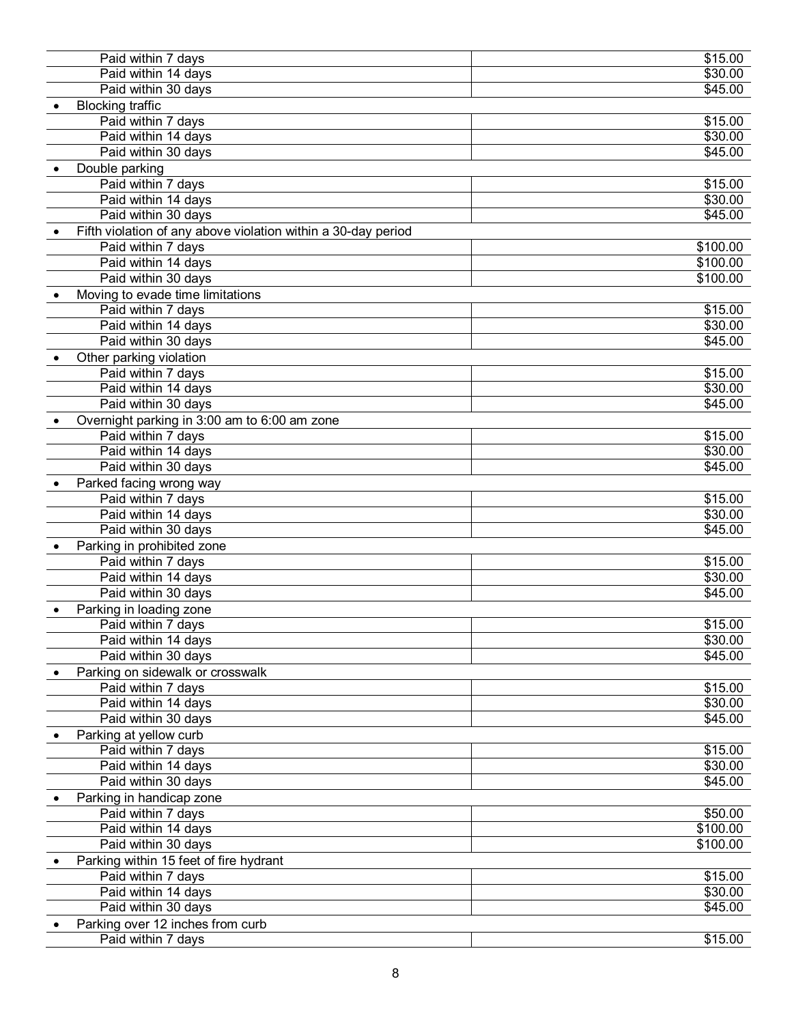| Paid within 7 days                                            | \$15.00  |
|---------------------------------------------------------------|----------|
| Paid within 14 days                                           | \$30.00  |
| Paid within 30 days                                           | \$45.00  |
| <b>Blocking traffic</b>                                       |          |
| Paid within 7 days                                            | \$15.00  |
| Paid within 14 days                                           | \$30.00  |
| Paid within 30 days                                           | \$45.00  |
| Double parking                                                |          |
| Paid within 7 days                                            | \$15.00  |
| Paid within 14 days                                           | \$30.00  |
| Paid within 30 days                                           | \$45.00  |
| Fifth violation of any above violation within a 30-day period |          |
| Paid within 7 days                                            | \$100.00 |
| Paid within 14 days                                           | \$100.00 |
| Paid within 30 days                                           | \$100.00 |
| Moving to evade time limitations                              |          |
| Paid within 7 days                                            | \$15.00  |
| Paid within 14 days                                           | \$30.00  |
| Paid within 30 days                                           | \$45.00  |
| Other parking violation                                       |          |
| Paid within 7 days                                            | \$15.00  |
| Paid within 14 days                                           | \$30.00  |
| Paid within 30 days                                           | \$45.00  |
| Overnight parking in 3:00 am to 6:00 am zone                  |          |
| Paid within 7 days                                            | \$15.00  |
| Paid within 14 days                                           | \$30.00  |
| Paid within 30 days                                           | \$45.00  |
|                                                               |          |
| Parked facing wrong way                                       |          |
| Paid within 7 days                                            | \$15.00  |
| Paid within 14 days                                           | \$30.00  |
| Paid within 30 days                                           | \$45.00  |
| Parking in prohibited zone                                    |          |
| Paid within 7 days                                            | \$15.00  |
| Paid within 14 days                                           | \$30.00  |
| Paid within 30 days                                           | \$45.00  |
| Parking in loading zone                                       |          |
| Paid within 7 days                                            | \$15.00  |
| Paid within 14 days                                           | \$30.00  |
| Paid within 30 days                                           | \$45.00  |
| Parking on sidewalk or crosswalk                              |          |
| Paid within 7 days                                            | \$15.00  |
| Paid within 14 days                                           | \$30.00  |
| Paid within 30 days                                           | \$45.00  |
| Parking at yellow curb                                        |          |
| Paid within 7 days                                            | \$15.00  |
| Paid within 14 days                                           | \$30.00  |
| Paid within 30 days                                           | \$45.00  |
| Parking in handicap zone                                      |          |
| Paid within 7 days                                            | \$50.00  |
| Paid within 14 days                                           | \$100.00 |
| Paid within 30 days                                           | \$100.00 |
| Parking within 15 feet of fire hydrant                        |          |
| Paid within 7 days                                            | \$15.00  |
| Paid within 14 days                                           | \$30.00  |
| Paid within 30 days                                           | \$45.00  |
| Parking over 12 inches from curb                              |          |
| Paid within 7 days                                            | \$15.00  |
|                                                               |          |